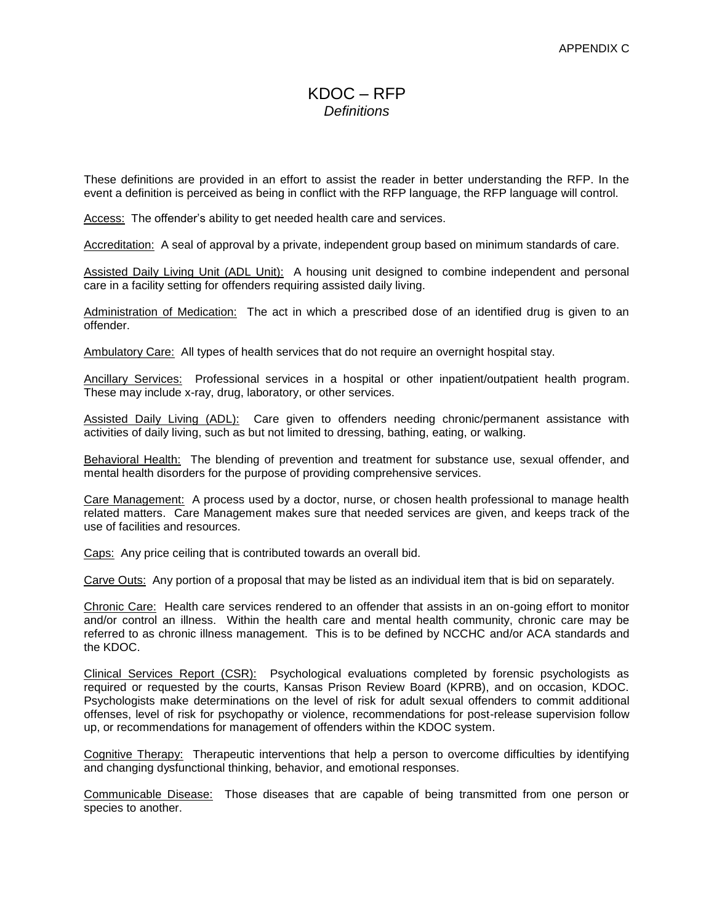## $KDOC = RFP$ *Definitions*

These definitions are provided in an effort to assist the reader in better understanding the RFP. In the event a definition is perceived as being in conflict with the RFP language, the RFP language will control.

Access: The offender's ability to get needed health care and services.

Accreditation: A seal of approval by a private, independent group based on minimum standards of care.

Assisted Daily Living Unit (ADL Unit): A housing unit designed to combine independent and personal care in a facility setting for offenders requiring assisted daily living.

Administration of Medication: The act in which a prescribed dose of an identified drug is given to an offender.

Ambulatory Care: All types of health services that do not require an overnight hospital stay.

Ancillary Services: Professional services in a hospital or other inpatient/outpatient health program. These may include x-ray, drug, laboratory, or other services.

Assisted Daily Living (ADL): Care given to offenders needing chronic/permanent assistance with activities of daily living, such as but not limited to dressing, bathing, eating, or walking.

Behavioral Health: The blending of prevention and treatment for substance use, sexual offender, and mental health disorders for the purpose of providing comprehensive services.

Care Management: A process used by a doctor, nurse, or chosen health professional to manage health related matters. Care Management makes sure that needed services are given, and keeps track of the use of facilities and resources.

Caps: Any price ceiling that is contributed towards an overall bid.

Carve Outs: Any portion of a proposal that may be listed as an individual item that is bid on separately.

Chronic Care: Health care services rendered to an offender that assists in an on-going effort to monitor and/or control an illness. Within the health care and mental health community, chronic care may be referred to as chronic illness management. This is to be defined by NCCHC and/or ACA standards and the KDOC.

Clinical Services Report (CSR): Psychological evaluations completed by forensic psychologists as required or requested by the courts, Kansas Prison Review Board (KPRB), and on occasion, KDOC. Psychologists make determinations on the level of risk for adult sexual offenders to commit additional offenses, level of risk for psychopathy or violence, recommendations for post-release supervision follow up, or recommendations for management of offenders within the KDOC system.

Cognitive Therapy: Therapeutic interventions that help a person to overcome difficulties by identifying and changing dysfunctional thinking, behavior, and emotional responses.

Communicable Disease: Those diseases that are capable of being transmitted from one person or species to another.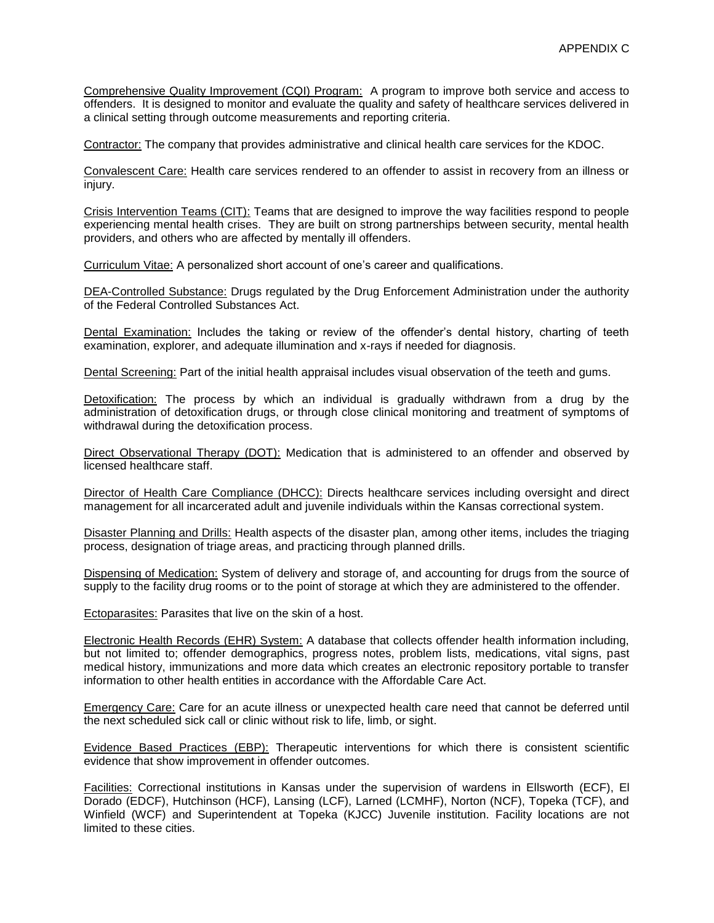Comprehensive Quality Improvement (CQI) Program: A program to improve both service and access to offenders. It is designed to monitor and evaluate the quality and safety of healthcare services delivered in a clinical setting through outcome measurements and reporting criteria.

Contractor: The company that provides administrative and clinical health care services for the KDOC.

Convalescent Care: Health care services rendered to an offender to assist in recovery from an illness or injury.

Crisis Intervention Teams (CIT): Teams that are designed to improve the way facilities respond to people experiencing mental health crises. They are built on strong partnerships between security, mental health providers, and others who are affected by mentally ill offenders.

Curriculum Vitae: A personalized short account of one's career and qualifications.

DEA-Controlled Substance: Drugs regulated by the Drug Enforcement Administration under the authority of the Federal Controlled Substances Act.

Dental Examination: Includes the taking or review of the offender's dental history, charting of teeth examination, explorer, and adequate illumination and x-rays if needed for diagnosis.

Dental Screening: Part of the initial health appraisal includes visual observation of the teeth and gums.

Detoxification: The process by which an individual is gradually withdrawn from a drug by the administration of detoxification drugs, or through close clinical monitoring and treatment of symptoms of withdrawal during the detoxification process.

Direct Observational Therapy (DOT): Medication that is administered to an offender and observed by licensed healthcare staff.

Director of Health Care Compliance (DHCC): Directs healthcare services including oversight and direct management for all incarcerated adult and juvenile individuals within the Kansas correctional system.

Disaster Planning and Drills: Health aspects of the disaster plan, among other items, includes the triaging process, designation of triage areas, and practicing through planned drills.

Dispensing of Medication: System of delivery and storage of, and accounting for drugs from the source of supply to the facility drug rooms or to the point of storage at which they are administered to the offender.

Ectoparasites: Parasites that live on the skin of a host.

Electronic Health Records (EHR) System: A database that collects offender health information including, but not limited to; offender demographics, progress notes, problem lists, medications, vital signs, past medical history, immunizations and more data which creates an electronic repository portable to transfer information to other health entities in accordance with the Affordable Care Act.

Emergency Care: Care for an acute illness or unexpected health care need that cannot be deferred until the next scheduled sick call or clinic without risk to life, limb, or sight.

Evidence Based Practices (EBP): Therapeutic interventions for which there is consistent scientific evidence that show improvement in offender outcomes.

Facilities: Correctional institutions in Kansas under the supervision of wardens in Ellsworth (ECF), El Dorado (EDCF), Hutchinson (HCF), Lansing (LCF), Larned (LCMHF), Norton (NCF), Topeka (TCF), and Winfield (WCF) and Superintendent at Topeka (KJCC) Juvenile institution. Facility locations are not limited to these cities.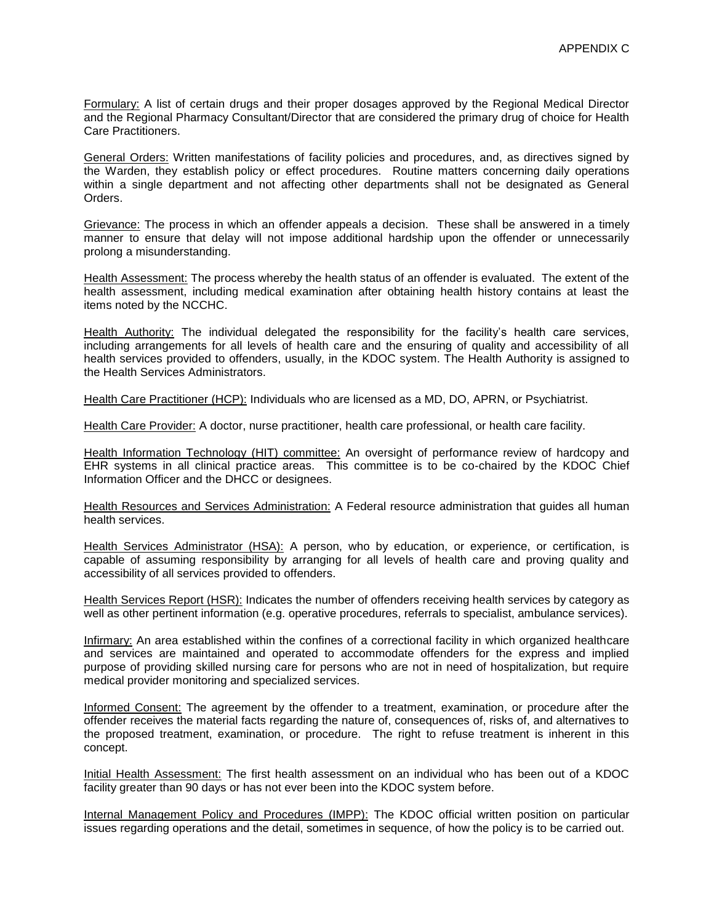Formulary: A list of certain drugs and their proper dosages approved by the Regional Medical Director and the Regional Pharmacy Consultant/Director that are considered the primary drug of choice for Health Care Practitioners.

General Orders: Written manifestations of facility policies and procedures, and, as directives signed by the Warden, they establish policy or effect procedures. Routine matters concerning daily operations within a single department and not affecting other departments shall not be designated as General Orders.

Grievance: The process in which an offender appeals a decision. These shall be answered in a timely manner to ensure that delay will not impose additional hardship upon the offender or unnecessarily prolong a misunderstanding.

Health Assessment: The process whereby the health status of an offender is evaluated. The extent of the health assessment, including medical examination after obtaining health history contains at least the items noted by the NCCHC.

Health Authority: The individual delegated the responsibility for the facility's health care services, including arrangements for all levels of health care and the ensuring of quality and accessibility of all health services provided to offenders, usually, in the KDOC system. The Health Authority is assigned to the Health Services Administrators.

Health Care Practitioner (HCP): Individuals who are licensed as a MD, DO, APRN, or Psychiatrist.

Health Care Provider: A doctor, nurse practitioner, health care professional, or health care facility.

Health Information Technology (HIT) committee: An oversight of performance review of hardcopy and EHR systems in all clinical practice areas. This committee is to be co-chaired by the KDOC Chief Information Officer and the DHCC or designees.

Health Resources and Services Administration: A Federal resource administration that guides all human health services.

Health Services Administrator (HSA): A person, who by education, or experience, or certification, is capable of assuming responsibility by arranging for all levels of health care and proving quality and accessibility of all services provided to offenders.

Health Services Report (HSR): Indicates the number of offenders receiving health services by category as well as other pertinent information (e.g. operative procedures, referrals to specialist, ambulance services).

Infirmary: An area established within the confines of a correctional facility in which organized healthcare and services are maintained and operated to accommodate offenders for the express and implied purpose of providing skilled nursing care for persons who are not in need of hospitalization, but require medical provider monitoring and specialized services.

Informed Consent: The agreement by the offender to a treatment, examination, or procedure after the offender receives the material facts regarding the nature of, consequences of, risks of, and alternatives to the proposed treatment, examination, or procedure. The right to refuse treatment is inherent in this concept.

Initial Health Assessment: The first health assessment on an individual who has been out of a KDOC facility greater than 90 days or has not ever been into the KDOC system before.

Internal Management Policy and Procedures (IMPP): The KDOC official written position on particular issues regarding operations and the detail, sometimes in sequence, of how the policy is to be carried out.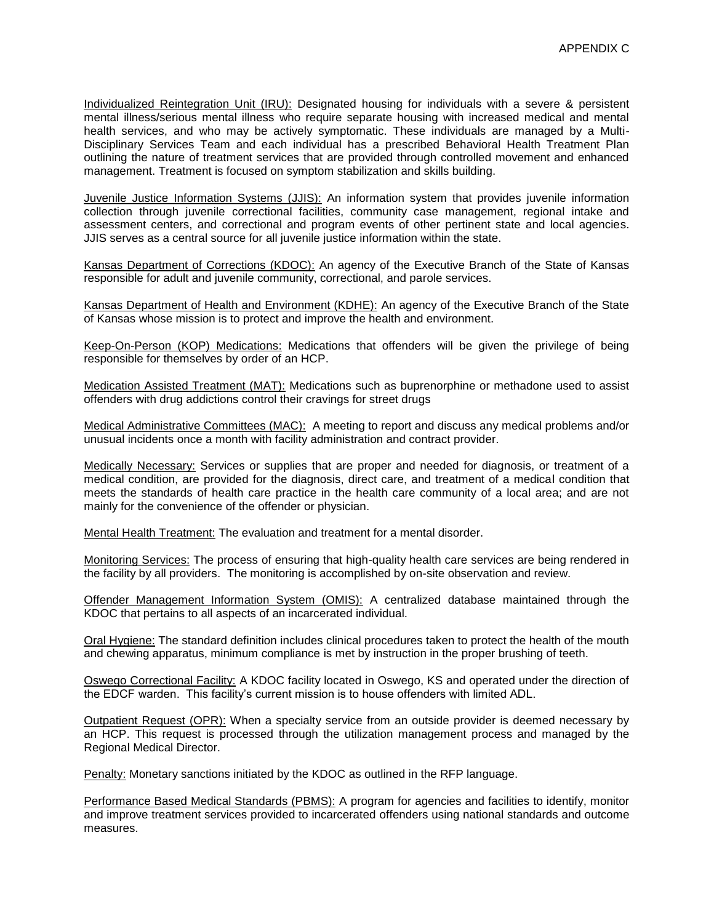Individualized Reintegration Unit (IRU): Designated housing for individuals with a severe & persistent mental illness/serious mental illness who require separate housing with increased medical and mental health services, and who may be actively symptomatic. These individuals are managed by a Multi-Disciplinary Services Team and each individual has a prescribed Behavioral Health Treatment Plan outlining the nature of treatment services that are provided through controlled movement and enhanced management. Treatment is focused on symptom stabilization and skills building.

Juvenile Justice Information Systems (JJIS): An information system that provides juvenile information collection through juvenile correctional facilities, community case management, regional intake and assessment centers, and correctional and program events of other pertinent state and local agencies. JJIS serves as a central source for all juvenile justice information within the state.

Kansas Department of Corrections (KDOC): An agency of the Executive Branch of the State of Kansas responsible for adult and juvenile community, correctional, and parole services.

Kansas Department of Health and Environment (KDHE): An agency of the Executive Branch of the State of Kansas whose mission is to protect and improve the health and environment.

Keep-On-Person (KOP) Medications: Medications that offenders will be given the privilege of being responsible for themselves by order of an HCP.

Medication Assisted Treatment (MAT): Medications such as buprenorphine or methadone used to assist offenders with drug addictions control their cravings for street drugs

Medical Administrative Committees (MAC): A meeting to report and discuss any medical problems and/or unusual incidents once a month with facility administration and contract provider.

Medically Necessary: Services or supplies that are proper and needed for diagnosis, or treatment of a medical condition, are provided for the diagnosis, direct care, and treatment of a medical condition that meets the standards of health care practice in the health care community of a local area; and are not mainly for the convenience of the offender or physician.

Mental Health Treatment: The evaluation and treatment for a mental disorder.

Monitoring Services: The process of ensuring that high-quality health care services are being rendered in the facility by all providers. The monitoring is accomplished by on-site observation and review.

Offender Management Information System (OMIS): A centralized database maintained through the KDOC that pertains to all aspects of an incarcerated individual.

Oral Hygiene: The standard definition includes clinical procedures taken to protect the health of the mouth and chewing apparatus, minimum compliance is met by instruction in the proper brushing of teeth.

Oswego Correctional Facility: A KDOC facility located in Oswego, KS and operated under the direction of the EDCF warden. This facility's current mission is to house offenders with limited ADL.

Outpatient Request (OPR): When a specialty service from an outside provider is deemed necessary by an HCP. This request is processed through the utilization management process and managed by the Regional Medical Director.

Penalty: Monetary sanctions initiated by the KDOC as outlined in the RFP language.

Performance Based Medical Standards (PBMS): A program for agencies and facilities to identify, monitor and improve treatment services provided to incarcerated offenders using national standards and outcome measures.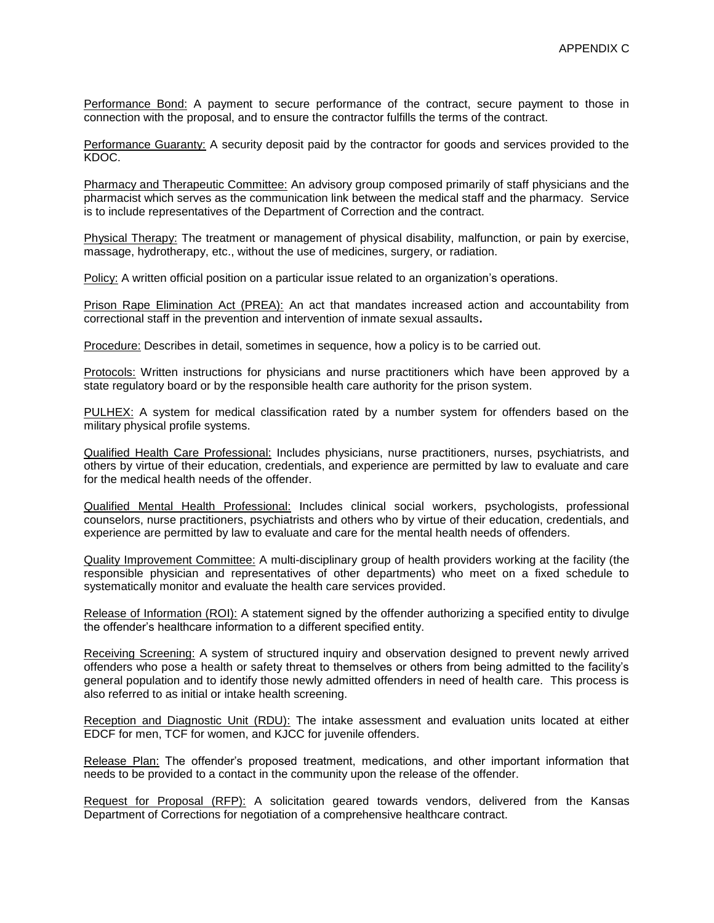Performance Bond: A payment to secure performance of the contract, secure payment to those in connection with the proposal, and to ensure the contractor fulfills the terms of the contract.

Performance Guaranty: A security deposit paid by the contractor for goods and services provided to the KDOC.

Pharmacy and Therapeutic Committee: An advisory group composed primarily of staff physicians and the pharmacist which serves as the communication link between the medical staff and the pharmacy. Service is to include representatives of the Department of Correction and the contract.

Physical Therapy: The treatment or management of physical disability, malfunction, or pain by exercise, massage, hydrotherapy, etc., without the use of medicines, surgery, or radiation.

Policy: A written official position on a particular issue related to an organization's operations.

Prison Rape Elimination Act (PREA): An act that mandates increased action and accountability from correctional staff in the prevention and intervention of inmate sexual assaults**.** 

Procedure: Describes in detail, sometimes in sequence, how a policy is to be carried out.

Protocols: Written instructions for physicians and nurse practitioners which have been approved by a state regulatory board or by the responsible health care authority for the prison system.

PULHEX: A system for medical classification rated by a number system for offenders based on the military physical profile systems.

Qualified Health Care Professional: Includes physicians, nurse practitioners, nurses, psychiatrists, and others by virtue of their education, credentials, and experience are permitted by law to evaluate and care for the medical health needs of the offender.

Qualified Mental Health Professional: Includes clinical social workers, psychologists, professional counselors, nurse practitioners, psychiatrists and others who by virtue of their education, credentials, and experience are permitted by law to evaluate and care for the mental health needs of offenders.

Quality Improvement Committee: A multi-disciplinary group of health providers working at the facility (the responsible physician and representatives of other departments) who meet on a fixed schedule to systematically monitor and evaluate the health care services provided.

Release of Information (ROI): A statement signed by the offender authorizing a specified entity to divulge the offender's healthcare information to a different specified entity.

Receiving Screening: A system of structured inquiry and observation designed to prevent newly arrived offenders who pose a health or safety threat to themselves or others from being admitted to the facility's general population and to identify those newly admitted offenders in need of health care. This process is also referred to as initial or intake health screening.

Reception and Diagnostic Unit (RDU): The intake assessment and evaluation units located at either EDCF for men, TCF for women, and KJCC for juvenile offenders.

Release Plan: The offender's proposed treatment, medications, and other important information that needs to be provided to a contact in the community upon the release of the offender.

Request for Proposal (RFP): A solicitation geared towards vendors, delivered from the Kansas Department of Corrections for negotiation of a comprehensive healthcare contract.